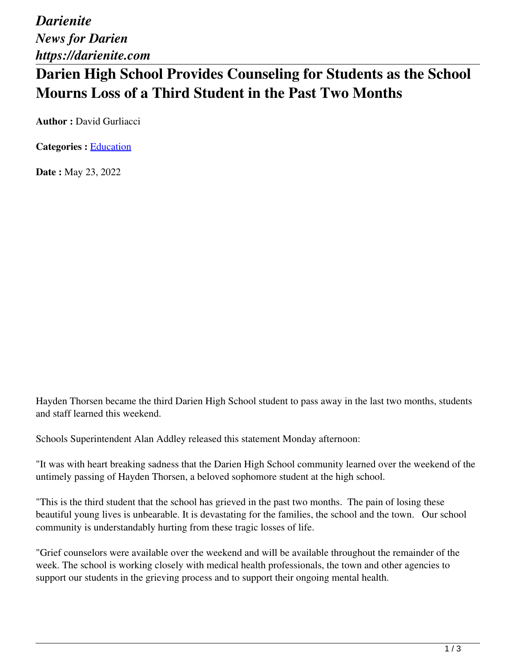*Darienite News for Darien https://darienite.com*

## **Darien High School Provides Counseling for Students as the School Mourns Loss of a Third Student in the Past Two Months**

**Author :** David Gurliacci

**Categories :** [Education](https://darienite.com/category/news/education)

**Date :** May 23, 2022

Hayden Thorsen became the third Darien High School student to pass away in the last two months, students and staff learned this weekend.

Schools Superintendent Alan Addley released this statement Monday afternoon:

"It was with heart breaking sadness that the Darien High School community learned over the weekend of the untimely passing of Hayden Thorsen, a beloved sophomore student at the high school.

"This is the third student that the school has grieved in the past two months. The pain of losing these beautiful young lives is unbearable. It is devastating for the families, the school and the town. Our school community is understandably hurting from these tragic losses of life.

"Grief counselors were available over the weekend and will be available throughout the remainder of the week. The school is working closely with medical health professionals, the town and other agencies to support our students in the grieving process and to support their ongoing mental health.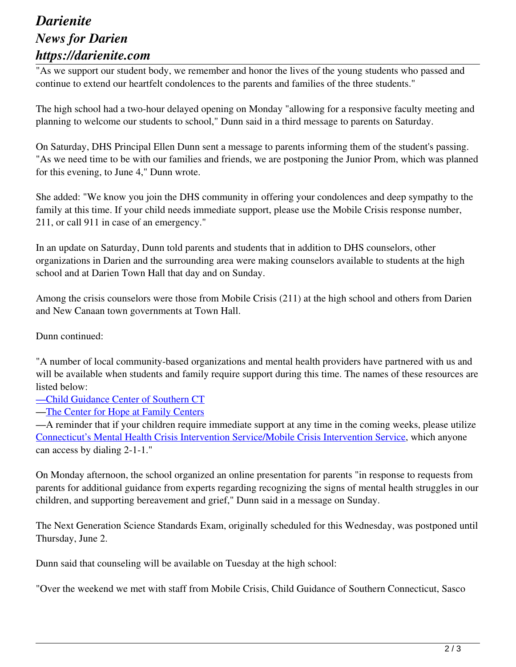## *Darienite News for Darien https://darienite.com*

"As we support our student body, we remember and honor the lives of the young students who passed and continue to extend our heartfelt condolences to the parents and families of the three students."

The high school had a two-hour delayed opening on Monday "allowing for a responsive faculty meeting and planning to welcome our students to school," Dunn said in a third message to parents on Saturday.

On Saturday, DHS Principal Ellen Dunn sent a message to parents informing them of the student's passing. "As we need time to be with our families and friends, we are postponing the Junior Prom, which was planned for this evening, to June 4," Dunn wrote.

She added: "We know you join the DHS community in offering your condolences and deep sympathy to the family at this time. If your child needs immediate support, please use the Mobile Crisis response number, 211, or call 911 in case of an emergency."

In an update on Saturday, Dunn told parents and students that in addition to DHS counselors, other organizations in Darien and the surrounding area were making counselors available to students at the high school and at Darien Town Hall that day and on Sunday.

Among the crisis counselors were those from Mobile Crisis (211) at the high school and others from Darien and New Canaan town governments at Town Hall.

Dunn continued:

"A number of local community-based organizations and mental health providers have partnered with us and will be available when students and family require support during this time. The names of these resources are listed below:

—Child Guidance Center of Southern CT

—The Center for Hope at Family Centers

—A reminder that if your children require immediate support at any time in the coming weeks, please utilize Connecticut's Mental Health Crisis Intervention Service/Mobile Crisis Intervention Service, which anyone can access by dialing 2-1-1."

On Monday afternoon, the school organized an online presentation for parents "in response to requests from parents for additional guidance from experts regarding recognizing the signs of mental health struggles in our children, and supporting bereavement and grief," Dunn said in a message on Sunday.

The Next Generation Science Standards Exam, originally scheduled for this Wednesday, was postponed until Thursday, June 2.

Dunn said that counseling will be available on Tuesday at the high school:

"Over the weekend we met with staff from Mobile Crisis, Child Guidance of Southern Connecticut, Sasco